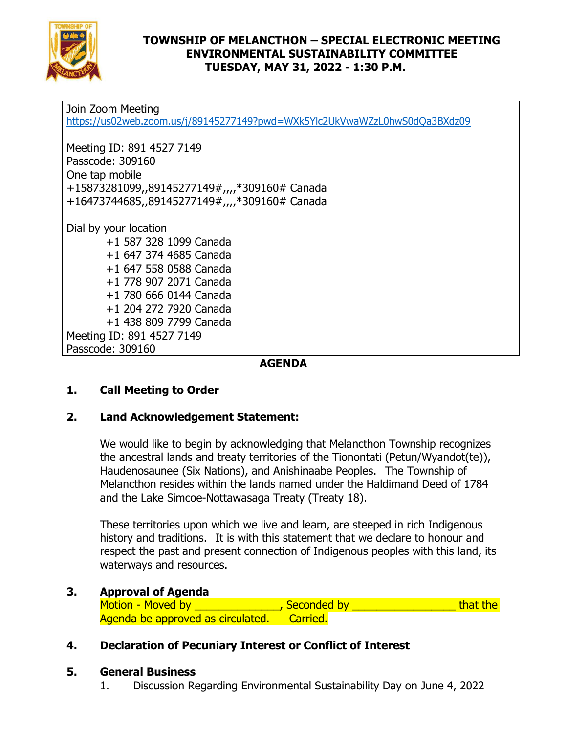

#### **TOWNSHIP OF MELANCTHON – SPECIAL ELECTRONIC MEETING ENVIRONMENTAL SUSTAINABILITY COMMITTEE TUESDAY, MAY 31, 2022 - 1:30 P.M.**

Join Zoom Meeting <https://us02web.zoom.us/j/89145277149?pwd=WXk5Ylc2UkVwaWZzL0hwS0dQa3BXdz09> Meeting ID: 891 4527 7149 Passcode: 309160 One tap mobile +15873281099,,89145277149#,,,,\*309160# Canada +16473744685,,89145277149#,,,,\*309160# Canada Dial by your location +1 587 328 1099 Canada +1 647 374 4685 Canada +1 647 558 0588 Canada +1 778 907 2071 Canada +1 780 666 0144 Canada +1 204 272 7920 Canada +1 438 809 7799 Canada Meeting ID: 891 4527 7149 Passcode: 309160

**AGENDA**

# **1. Call Meeting to Order**

## **2. Land Acknowledgement Statement:**

We would like to begin by acknowledging that Melancthon Township recognizes the ancestral lands and treaty territories of the Tionontati (Petun/Wyandot(te)), Haudenosaunee (Six Nations), and Anishinaabe Peoples. The Township of Melancthon resides within the lands named under the Haldimand Deed of 1784 and the Lake Simcoe-Nottawasaga Treaty (Treaty 18).

These territories upon which we live and learn, are steeped in rich Indigenous history and traditions. It is with this statement that we declare to honour and respect the past and present connection of Indigenous peoples with this land, its waterways and resources.

## **3. Approval of Agenda**

| Motion - Moved by                          | , Seconded by | that the |
|--------------------------------------------|---------------|----------|
| Agenda be approved as circulated. Carried. |               |          |

#### **4. Declaration of Pecuniary Interest or Conflict of Interest**

#### **5. General Business**

1. Discussion Regarding Environmental Sustainability Day on June 4, 2022